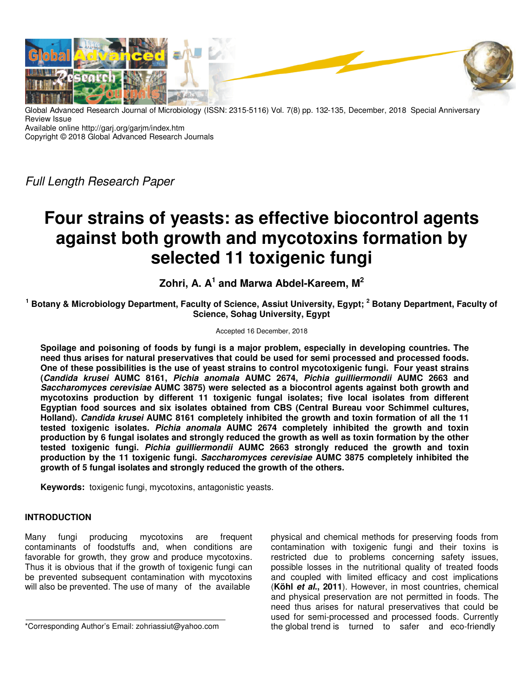

Global Advanced Research Journal of Microbiology (ISSN: 2315-5116) Vol. 7(8) pp. 132-135, December, 2018 Special Anniversary Review Issue

Available online http://garj.org/garjm/index.htm

Copyright © 2018 Global Advanced Research Journals

Full Length Research Paper

# **Four strains of yeasts: as effective biocontrol agents against both growth and mycotoxins formation by selected 11 toxigenic fungi**

**Zohri, A. A<sup>1</sup> and Marwa Abdel-Kareem, M<sup>2</sup>**

**1 Botany & Microbiology Department, Faculty of Science, Assiut University, Egypt; <sup>2</sup> Botany Department, Faculty of Science, Sohag University, Egypt** 

#### Accepted 16 December, 2018

**Spoilage and poisoning of foods by fungi is a major problem, especially in developing countries. The need thus arises for natural preservatives that could be used for semi processed and processed foods. One of these possibilities is the use of yeast strains to control mycotoxigenic fungi. Four yeast strains (Candida krusei AUMC 8161, Pichia anomala AUMC 2674, Pichia guilliermondii AUMC 2663 and Saccharomyces cerevisiae AUMC 3875) were selected as a biocontrol agents against both growth and mycotoxins production by different 11 toxigenic fungal isolates; five local isolates from different Egyptian food sources and six isolates obtained from CBS (Central Bureau voor Schimmel cultures, Holland). Candida krusei AUMC 8161 completely inhibited the growth and toxin formation of all the 11 tested toxigenic isolates. Pichia anomala AUMC 2674 completely inhibited the growth and toxin production by 6 fungal isolates and strongly reduced the growth as well as toxin formation by the other tested toxigenic fungi. Pichia guilliermondii AUMC 2663 strongly reduced the growth and toxin production by the 11 toxigenic fungi. Saccharomyces cerevisiae AUMC 3875 completely inhibited the growth of 5 fungal isolates and strongly reduced the growth of the others.** 

**Keywords:** toxigenic fungi, mycotoxins, antagonistic yeasts.

## **INTRODUCTION**

Many fungi producing mycotoxins are frequent contaminants of foodstuffs and, when conditions are favorable for growth, they grow and produce mycotoxins. Thus it is obvious that if the growth of toxigenic fungi can be prevented subsequent contamination with mycotoxins will also be prevented. The use of many of the available

\*Corresponding Author's Email: zohriassiut@yahoo.com

physical and chemical methods for preserving foods from contamination with toxigenic fungi and their toxins is restricted due to problems concerning safety issues, possible losses in the nutritional quality of treated foods and coupled with limited efficacy and cost implications (**Köhl et al., 2011**). However, in most countries, chemical and physical preservation are not permitted in foods. The need thus arises for natural preservatives that could be used for semi-processed and processed foods. Currently the global trend is turned to safer and eco-friendly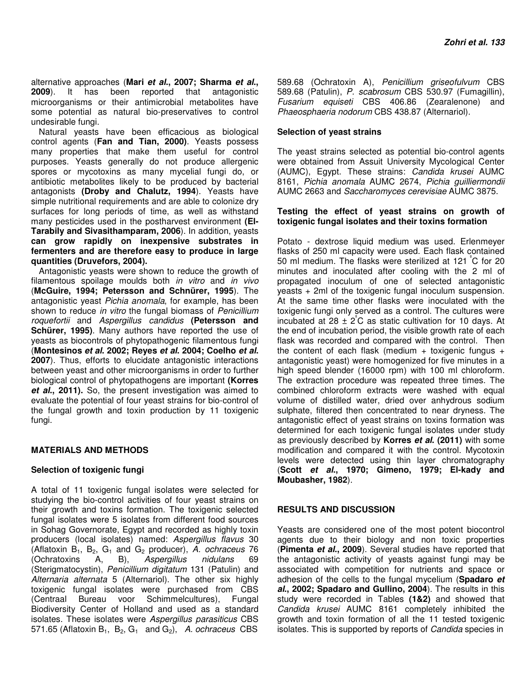alternative approaches (**Mari et al., 2007; Sharma et al., 2009**). It has been reported that antagonistic microorganisms or their antimicrobial metabolites have some potential as natural bio-preservatives to control undesirable fungi.

Natural yeasts have been efficacious as biological control agents (**Fan and Tian, 2000)**. Yeasts possess many properties that make them useful for control purposes. Yeasts generally do not produce allergenic spores or mycotoxins as many mycelial fungi do, or antibiotic metabolites likely to be produced by bacterial antagonists **(Droby and Chalutz, 1994**). Yeasts have simple nutritional requirements and are able to colonize dry surfaces for long periods of time, as well as withstand many pesticides used in the postharvest environment **(El-Tarabily and Sivasithamparam, 2006**). In addition, yeasts **can grow rapidly on inexpensive substrates in fermenters and are therefore easy to produce in large quantities (Druvefors, 2004).** 

Antagonistic yeasts were shown to reduce the growth of filamentous spoilage moulds both in vitro and in vivo (**McGuire, 1994; Petersson and Schnürer, 1995**). The antagonistic yeast Pichia anomala, for example, has been shown to reduce in vitro the fungal biomass of Penicillium roquefortii and Aspergillus candidus **(Petersson and Schürer, 1995)**. Many authors have reported the use of yeasts as biocontrols of phytopathogenic filamentous fungi (**Montesinos et al. 2002; Reyes et al. 2004; Coelho et al. 2007**). Thus, efforts to elucidate antagonistic interactions between yeast and other microorganisms in order to further biological control of phytopathogens are important **(Korres et al., 2011).** So, the present investigation was aimed to evaluate the potential of four yeast strains for bio-control of the fungal growth and toxin production by 11 toxigenic fungi.

### **MATERIALS AND METHODS**

#### **Selection of toxigenic fungi**

A total of 11 toxigenic fungal isolates were selected for studying the bio-control activities of four yeast strains on their growth and toxins formation. The toxigenic selected fungal isolates were 5 isolates from different food sources in Sohag Governorate, Egypt and recorded as highly toxin producers (local isolates) named: Aspergillus flavus 30 (Aflatoxin  $B_1$ ,  $B_2$ ,  $G_1$  and  $G_2$  producer), A. ochraceus 76 (Ochratoxins A, B), Aspergillus nidulans 69 (Sterigmatocystin), Penicillium digitatum 131 (Patulin) and Alternaria alternata 5 (Alternariol). The other six highly toxigenic fungal isolates were purchased from CBS (Centraal Bureau voor Schimmelcultures), Fungal Biodiversity Center of Holland and used as a standard isolates. These isolates were Aspergillus parasiticus CBS 571.65 (Aflatoxin  $B_1$ ,  $B_2$ ,  $G_1$  and  $G_2$ ), A. ochraceus CBS

589.68 (Ochratoxin A), Penicillium griseofulvum CBS 589.68 (Patulin), P. scabrosum CBS 530.97 (Fumagillin), Fusarium equiseti CBS 406.86 (Zearalenone) and Phaeosphaeria nodorum CBS 438.87 (Alternariol).

#### **Selection of yeast strains**

The yeast strains selected as potential bio-control agents were obtained from Assuit University Mycological Center (AUMC), Egypt. These strains: Candida krusei AUMC 8161, Pichia anomala AUMC 2674, Pichia guilliermondii AUMC 2663 and Saccharomyces cerevisiae AUMC 3875.

#### **Testing the effect of yeast strains on growth of toxigenic fungal isolates and their toxins formation**

Potato - dextrose liquid medium was used. Erlenmeyer flasks of 250 ml capacity were used. Each flask contained 50 ml medium. The flasks were sterilized at 121 °C for 20 minutes and inoculated after cooling with the 2 ml of propagated inoculum of one of selected antagonistic yeasts + 2ml of the toxigenic fungal inoculum suspension. At the same time other flasks were inoculated with the toxigenic fungi only served as a control. The cultures were incubated at  $28 \pm 2^{\circ}$ C as static cultivation for 10 days. At the end of incubation period, the visible growth rate of each flask was recorded and compared with the control. Then the content of each flask (medium + toxigenic fungus + antagonistic yeast) were homogenized for five minutes in a high speed blender (16000 rpm) with 100 ml chloroform. The extraction procedure was repeated three times. The combined chloroform extracts were washed with equal volume of distilled water, dried over anhydrous sodium sulphate, filtered then concentrated to near dryness. The antagonistic effect of yeast strains on toxins formation was determined for each toxigenic fungal isolates under study as previously described by **Korres et al. (2011)** with some modification and compared it with the control. Mycotoxin levels were detected using thin layer chromatography (**Scott et al., 1970; Gimeno, 1979; El-kady and Moubasher, 1982**).

#### **RESULTS AND DISCUSSION**

Yeasts are considered one of the most potent biocontrol agents due to their biology and non toxic properties (**Pimenta et al., 2009**). Several studies have reported that the antagonistic activity of yeasts against fungi may be associated with competition for nutrients and space or adhesion of the cells to the fungal mycelium (**Spadaro et al., 2002; Spadaro and Gullino, 2004**). The results in this study were recorded in Tables **(1&2)** and showed that Candida krusei AUMC 8161 completely inhibited the growth and toxin formation of all the 11 tested toxigenic isolates. This is supported by reports of Candida species in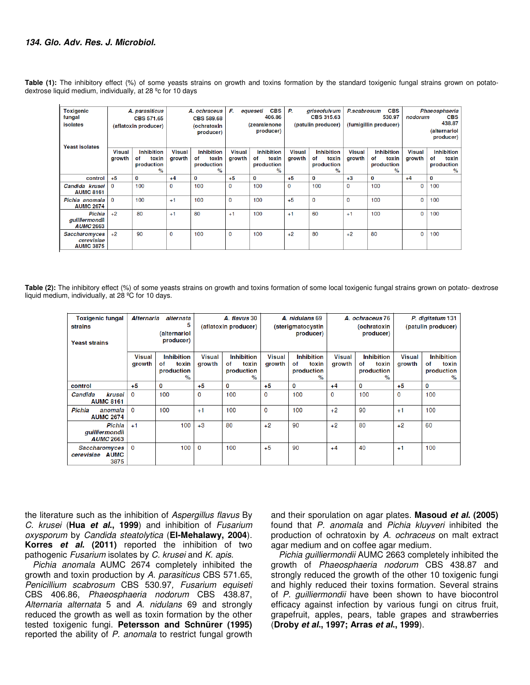**Table (1):** The inhibitory effect (%) of some yeasts strains on growth and toxins formation by the standard toxigenic fungal strains grown on potatodextrose liquid medium, individually, at 28 ºc for 10 days

| <b>Toxigenic</b><br>fungal<br><b>isolates</b><br><b>Yeast isolates</b> | A. parasiticus<br><b>CBS 571.65</b><br>(aflatoxin producer) |                                                                 | A. ochraceus<br><b>CBS 589.68</b><br>(ochratoxin<br>producer) |                                                                 | F.<br><b>CBS</b><br>equeseti<br>406.86<br>(zearalenone<br>producer) |                                                        | Р.<br>griseofulvum<br><b>CBS 315.63</b><br>(patulin producer) |                                                        | <b>CBS</b><br>P.scabrosum<br>530.97<br>(fumigillin producer) |                                                        | Phaeosphaeria<br><b>CBS</b><br>nodorum<br>438.87<br><i>(alternariol</i><br>producer) |                                                        |
|------------------------------------------------------------------------|-------------------------------------------------------------|-----------------------------------------------------------------|---------------------------------------------------------------|-----------------------------------------------------------------|---------------------------------------------------------------------|--------------------------------------------------------|---------------------------------------------------------------|--------------------------------------------------------|--------------------------------------------------------------|--------------------------------------------------------|--------------------------------------------------------------------------------------|--------------------------------------------------------|
|                                                                        | <b>Visual</b><br>arowth                                     | <b>Inhibition</b><br>toxin<br>оf<br>production<br>$\frac{9}{6}$ | <b>Visual</b><br>growth                                       | <b>Inhibition</b><br>toxin<br>of<br>production<br>$\frac{9}{6}$ | <b>Visual</b><br>growth                                             | <b>Inhibition</b><br>of<br>toxin<br>production<br>$\%$ | <b>Visual</b><br>growth                                       | <b>Inhibition</b><br>toxin<br>of<br>production<br>$\%$ | <b>Visual</b><br>growth                                      | <b>Inhibition</b><br>toxin<br>оf<br>production<br>$\%$ | <b>Visual</b><br>growth                                                              | <b>Inhibition</b><br>toxin<br>οf<br>production<br>$\%$ |
| control                                                                | $+5$                                                        | 0                                                               | $+4$                                                          | 0                                                               | $+5$                                                                | 0                                                      | $+5$                                                          | 0                                                      | $+3$                                                         | 0                                                      | $+4$                                                                                 | 0                                                      |
| Candida krusei<br><b>AUMC 8161</b>                                     | $\Omega$                                                    | 100                                                             | $\Omega$                                                      | 100                                                             | $\Omega$                                                            | 100                                                    | $\mathbf{0}$                                                  | 100                                                    | $\mathbf{0}$                                                 | 100                                                    | 0                                                                                    | 100                                                    |
| Pichia anomala<br><b>AUMC 2674</b>                                     | $\Omega$                                                    | 100                                                             | $+1$                                                          | 100                                                             | $\mathbf{0}$                                                        | 100                                                    | $+5$                                                          | $\Omega$                                               | $\Omega$                                                     | 100                                                    | $\mathbf 0$                                                                          | 100                                                    |
| Pichia<br>quilliermondii<br><b>AUMC 2663</b>                           | $+2$                                                        | 80                                                              | $+1$                                                          | 80                                                              | $+1$                                                                | 100                                                    | $+1$                                                          | 60                                                     | $+1$                                                         | 100                                                    | $\mathbf 0$                                                                          | 100                                                    |
| Saccharomyces<br>cerevisiae<br><b>AUMC 3875</b>                        | $+2$                                                        | 90                                                              | $\mathbf 0$                                                   | 100                                                             | $\mathbf 0$                                                         | 100                                                    | $+2$                                                          | 80                                                     | $+2$                                                         | 80                                                     | 0                                                                                    | 100                                                    |

**Table (2):** The inhibitory effect (%) of some yeasts strains on growth and toxins formation of some local toxigenic fungal strains grown on potato- dextrose liquid medium, individually, at 28 ºC for 10 days.

| <b>Toxigenic fungal</b><br>strains<br><b>Yeast strains</b> | Alternaria              | alternata<br>5<br>(alternariol<br>producer)                     | A. flavus 30<br>(aflatoxin producer) |                                                     |                         | A. nidulans 69<br>(sterigmatocystin<br>producer)                |                         | A. ochraceus 76<br>(ochratoxin<br>producer)         | P. digitatum 131<br>(patulin producer) |                                                        |
|------------------------------------------------------------|-------------------------|-----------------------------------------------------------------|--------------------------------------|-----------------------------------------------------|-------------------------|-----------------------------------------------------------------|-------------------------|-----------------------------------------------------|----------------------------------------|--------------------------------------------------------|
|                                                            | <b>Visual</b><br>growth | <b>Inhibition</b><br>toxin<br>οf<br>production<br>$\frac{9}{6}$ | <b>Visual</b><br>growth              | <b>Inhibition</b><br>toxin<br>оf<br>production<br>% | <b>Visual</b><br>growth | <b>Inhibition</b><br>оf<br>toxin<br>production<br>$\frac{9}{6}$ | <b>Visual</b><br>growth | <b>Inhibition</b><br>оf<br>toxin<br>production<br>% | <b>Visual</b><br>growth                | <b>Inhibition</b><br>toxin<br>оf<br>production<br>$\%$ |
| control                                                    | $+5$                    | 0                                                               | $+5$                                 | 0                                                   | $+5$                    | 0                                                               | $+4$                    | 0                                                   | $+5$                                   | 0                                                      |
| Candida<br>krusei<br><b>AUMC 8161</b>                      | $\Omega$                | 100                                                             | 0                                    | 100                                                 | 0                       | 100                                                             | 0                       | 100                                                 | 0                                      | 100                                                    |
| Pichia<br>anomala<br><b>AUMC 2674</b>                      | $\mathbf{0}$            | 100                                                             | $+1$                                 | 100                                                 | 0                       | 100                                                             | $+2$                    | 90                                                  | $+1$                                   | 100                                                    |
| Pichia<br>guilliermondii<br><b>AUMC 2663</b>               | $+1$                    | 100                                                             | $+3$                                 | 80                                                  | $+2$                    | 90                                                              | $+2$                    | 80                                                  | $+2$                                   | 60                                                     |
| Saccharomyces<br>cerevisiae AUMC<br>3875                   | $\mathbf 0$             | 100                                                             | 0                                    | 100                                                 | $+5$                    | 90                                                              | $+4$                    | 40                                                  | $+1$                                   | 100                                                    |

the literature such as the inhibition of Aspergillus flavus By C. krusei (**Hua et al., 1999**) and inhibition of Fusarium oxysporum by Candida steatolytica (**El-Mehalawy, 2004**). **Korres et al. (2011)** reported the inhibition of two pathogenic Fusarium isolates by C. krusei and K. apis.

Pichia anomala AUMC 2674 completely inhibited the growth and toxin production by A. parasiticus CBS 571.65, Penicillium scabrosum CBS 530.97, Fusarium equiseti CBS 406.86, Phaeosphaeria nodorum CBS 438.87, Alternaria alternata 5 and A. nidulans 69 and strongly reduced the growth as well as toxin formation by the other tested toxigenic fungi. **Petersson and Schnürer (1995)** reported the ability of P. anomala to restrict fungal growth

and their sporulation on agar plates. **Masoud et al. (2005)** found that P. anomala and Pichia kluyveri inhibited the production of ochratoxin by A. ochraceus on malt extract agar medium and on coffee agar medium.

Pichia guilliermondii AUMC 2663 completely inhibited the growth of Phaeosphaeria nodorum CBS 438.87 and strongly reduced the growth of the other 10 toxigenic fungi and highly reduced their toxins formation. Several strains of P. guilliermondii have been shown to have biocontrol efficacy against infection by various fungi on citrus fruit, grapefruit, apples, pears, table grapes and strawberries (**Droby et al., 1997; Arras et al., 1999**).